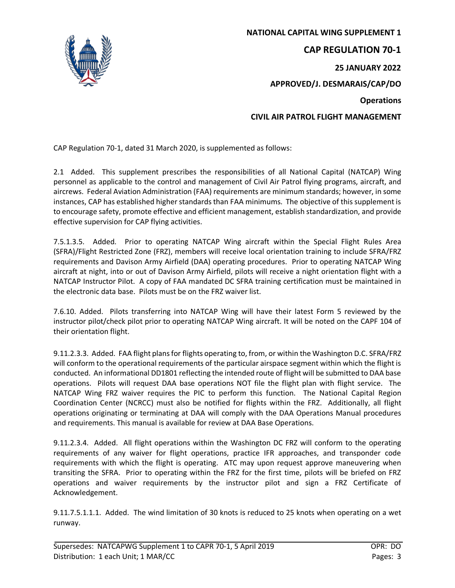

**NATIONAL CAPITAL WING SUPPLEMENT 1 CAP REGULATION 70-1 25 JANUARY 2022 APPROVED/J. DESMARAIS/CAP/DO Operations CIVIL AIR PATROL FLIGHT MANAGEMENT**

CAP Regulation 70-1, dated 31 March 2020, is supplemented as follows:

2.1 Added. This supplement prescribes the responsibilities of all National Capital (NATCAP) Wing personnel as applicable to the control and management of Civil Air Patrol flying programs, aircraft, and aircrews. Federal Aviation Administration (FAA) requirements are minimum standards; however, in some instances, CAP has established higher standards than FAA minimums. The objective of this supplement is to encourage safety, promote effective and efficient management, establish standardization, and provide effective supervision for CAP flying activities.

7.5.1.3.5. Added. Prior to operating NATCAP Wing aircraft within the Special Flight Rules Area (SFRA)/Flight Restricted Zone (FRZ), members will receive local orientation training to include SFRA/FRZ requirements and Davison Army Airfield (DAA) operating procedures. Prior to operating NATCAP Wing aircraft at night, into or out of Davison Army Airfield, pilots will receive a night orientation flight with a NATCAP Instructor Pilot. A copy of FAA mandated DC SFRA training certification must be maintained in the electronic data base. Pilots must be on the FRZ waiver list.

7.6.10. Added. Pilots transferring into NATCAP Wing will have their latest Form 5 reviewed by the instructor pilot/check pilot prior to operating NATCAP Wing aircraft. It will be noted on the CAPF 104 of their orientation flight.

9.11.2.3.3. Added. FAA flight plans for flights operating to, from, or within the Washington D.C. SFRA/FRZ will conform to the operational requirements of the particular airspace segment within which the flight is conducted. An informational DD1801 reflecting the intended route of flight will be submitted to DAA base operations. Pilots will request DAA base operations NOT file the flight plan with flight service. The NATCAP Wing FRZ waiver requires the PIC to perform this function. The National Capital Region Coordination Center (NCRCC) must also be notified for flights within the FRZ. Additionally, all flight operations originating or terminating at DAA will comply with the DAA Operations Manual procedures and requirements. This manual is available for review at DAA Base Operations.

9.11.2.3.4. Added. All flight operations within the Washington DC FRZ will conform to the operating requirements of any waiver for flight operations, practice IFR approaches, and transponder code requirements with which the flight is operating. ATC may upon request approve maneuvering when transiting the SFRA. Prior to operating within the FRZ for the first time, pilots will be briefed on FRZ operations and waiver requirements by the instructor pilot and sign a FRZ Certificate of Acknowledgement.

9.11.7.5.1.1.1. Added. The wind limitation of 30 knots is reduced to 25 knots when operating on a wet runway.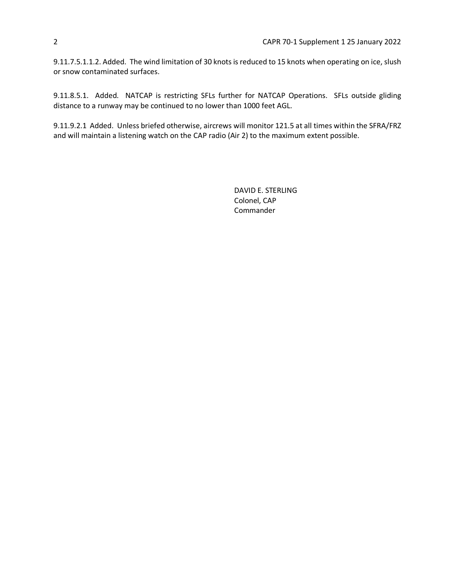9.11.7.5.1.1.2. Added. The wind limitation of 30 knots is reduced to 15 knots when operating on ice, slush or snow contaminated surfaces.

9.11.8.5.1. Added. NATCAP is restricting SFLs further for NATCAP Operations. SFLs outside gliding distance to a runway may be continued to no lower than 1000 feet AGL.

9.11.9.2.1 Added. Unless briefed otherwise, aircrews will monitor 121.5 at all times within the SFRA/FRZ and will maintain a listening watch on the CAP radio (Air 2) to the maximum extent possible.

> DAVID E. STERLING Colonel, CAP Commander